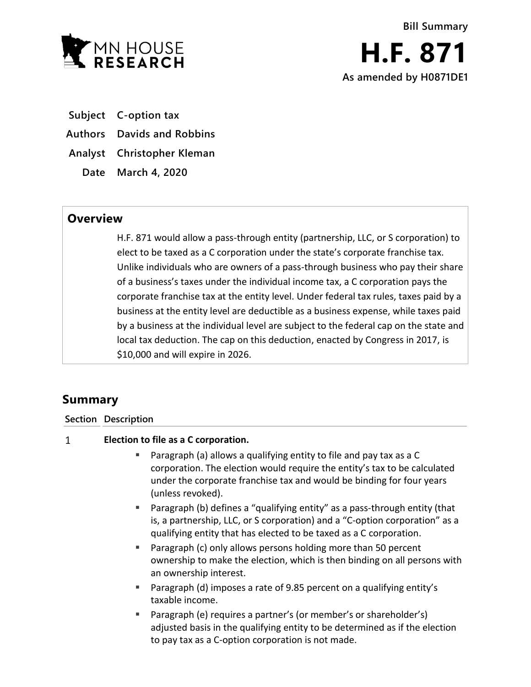

**Subject C-option tax**

**Authors Davids and Robbins**

**Analyst Christopher Kleman**

**Date March 4, 2020**

## **Overview**

H.F. 871 would allow a pass-through entity (partnership, LLC, or S corporation) to elect to be taxed as a C corporation under the state's corporate franchise tax. Unlike individuals who are owners of a pass-through business who pay their share of a business's taxes under the individual income tax, a C corporation pays the corporate franchise tax at the entity level. Under federal tax rules, taxes paid by a business at the entity level are deductible as a business expense, while taxes paid by a business at the individual level are subject to the federal cap on the state and local tax deduction. The cap on this deduction, enacted by Congress in 2017, is \$10,000 and will expire in 2026.

# **Summary**

### **Section Description**

#### $\mathbf{1}$ **Election to file as a C corporation.**

- **Paragraph (a) allows a qualifying entity to file and pay tax as a C** corporation. The election would require the entity's tax to be calculated under the corporate franchise tax and would be binding for four years (unless revoked).
- Paragraph (b) defines a "qualifying entity" as a pass-through entity (that is, a partnership, LLC, or S corporation) and a "C-option corporation" as a qualifying entity that has elected to be taxed as a C corporation.
- Paragraph (c) only allows persons holding more than 50 percent ownership to make the election, which is then binding on all persons with an ownership interest.
- Paragraph (d) imposes a rate of 9.85 percent on a qualifying entity's taxable income.
- Paragraph (e) requires a partner's (or member's or shareholder's) adjusted basis in the qualifying entity to be determined as if the election to pay tax as a C-option corporation is not made.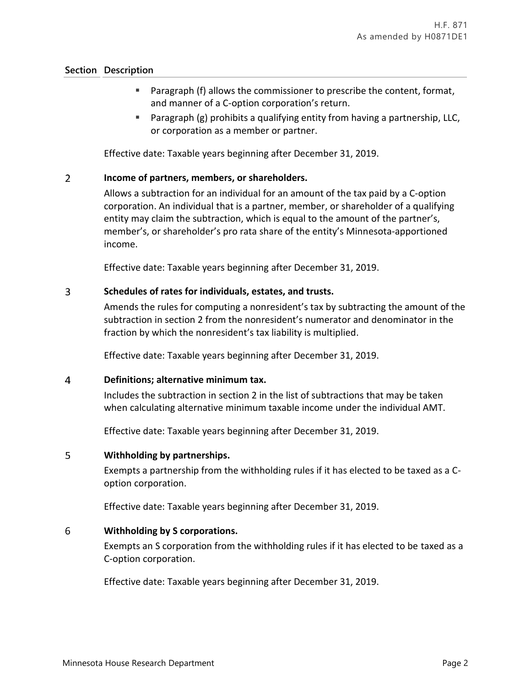### **Section Description**

- Paragraph (f) allows the commissioner to prescribe the content, format, and manner of a C-option corporation's return.
- Paragraph (g) prohibits a qualifying entity from having a partnership, LLC, or corporation as a member or partner.

Effective date: Taxable years beginning after December 31, 2019.

#### $\overline{2}$ **Income of partners, members, or shareholders.**

Allows a subtraction for an individual for an amount of the tax paid by a C-option corporation. An individual that is a partner, member, or shareholder of a qualifying entity may claim the subtraction, which is equal to the amount of the partner's, member's, or shareholder's pro rata share of the entity's Minnesota-apportioned income.

Effective date: Taxable years beginning after December 31, 2019.

#### $\overline{3}$ **Schedules of rates for individuals, estates, and trusts.**

Amends the rules for computing a nonresident's tax by subtracting the amount of the subtraction in section 2 from the nonresident's numerator and denominator in the fraction by which the nonresident's tax liability is multiplied.

Effective date: Taxable years beginning after December 31, 2019.

#### $\overline{4}$ **Definitions; alternative minimum tax.**

Includes the subtraction in section 2 in the list of subtractions that may be taken when calculating alternative minimum taxable income under the individual AMT.

Effective date: Taxable years beginning after December 31, 2019.

#### 5 **Withholding by partnerships.**

Exempts a partnership from the withholding rules if it has elected to be taxed as a Coption corporation.

Effective date: Taxable years beginning after December 31, 2019.

#### 6 **Withholding by S corporations.**

Exempts an S corporation from the withholding rules if it has elected to be taxed as a C-option corporation.

Effective date: Taxable years beginning after December 31, 2019.